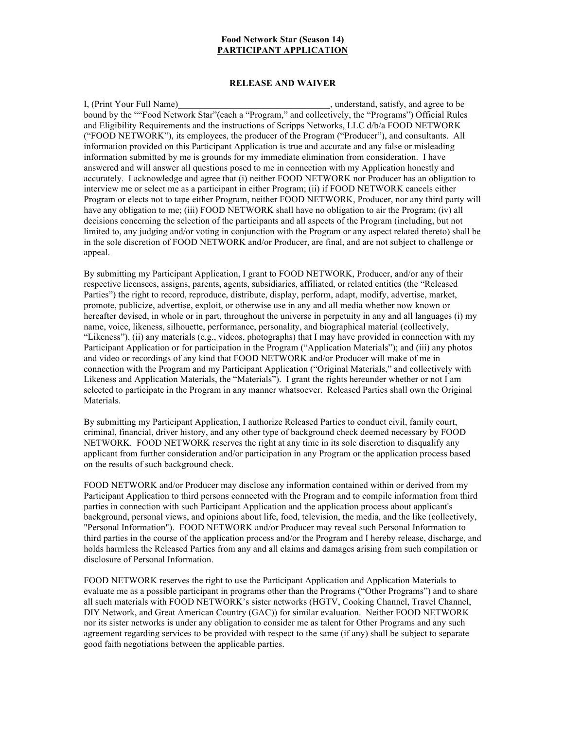## **Food Network Star (Season 14) PARTICIPANT APPLICATION**

## **RELEASE AND WAIVER**

I, (Print Your Full Name) with the stand, satisfy, and agree to be bound by the ""Food Network Star"(each a "Program," and collectively, the "Programs") Official Rules and Eligibility Requirements and the instructions of Scripps Networks, LLC d/b/a FOOD NETWORK ("FOOD NETWORK"), its employees, the producer of the Program ("Producer"), and consultants. All information provided on this Participant Application is true and accurate and any false or misleading information submitted by me is grounds for my immediate elimination from consideration. I have answered and will answer all questions posed to me in connection with my Application honestly and accurately. I acknowledge and agree that (i) neither FOOD NETWORK nor Producer has an obligation to interview me or select me as a participant in either Program; (ii) if FOOD NETWORK cancels either Program or elects not to tape either Program, neither FOOD NETWORK, Producer, nor any third party will have any obligation to me; (iii) FOOD NETWORK shall have no obligation to air the Program; (iv) all decisions concerning the selection of the participants and all aspects of the Program (including, but not limited to, any judging and/or voting in conjunction with the Program or any aspect related thereto) shall be in the sole discretion of FOOD NETWORK and/or Producer, are final, and are not subject to challenge or appeal.

By submitting my Participant Application, I grant to FOOD NETWORK, Producer, and/or any of their respective licensees, assigns, parents, agents, subsidiaries, affiliated, or related entities (the "Released Parties") the right to record, reproduce, distribute, display, perform, adapt, modify, advertise, market, promote, publicize, advertise, exploit, or otherwise use in any and all media whether now known or hereafter devised, in whole or in part, throughout the universe in perpetuity in any and all languages (i) my name, voice, likeness, silhouette, performance, personality, and biographical material (collectively, "Likeness"), (ii) any materials (e.g., videos, photographs) that I may have provided in connection with my Participant Application or for participation in the Program ("Application Materials"); and (iii) any photos and video or recordings of any kind that FOOD NETWORK and/or Producer will make of me in connection with the Program and my Participant Application ("Original Materials," and collectively with Likeness and Application Materials, the "Materials"). I grant the rights hereunder whether or not I am selected to participate in the Program in any manner whatsoever. Released Parties shall own the Original Materials.

By submitting my Participant Application, I authorize Released Parties to conduct civil, family court, criminal, financial, driver history, and any other type of background check deemed necessary by FOOD NETWORK. FOOD NETWORK reserves the right at any time in its sole discretion to disqualify any applicant from further consideration and/or participation in any Program or the application process based on the results of such background check.

FOOD NETWORK and/or Producer may disclose any information contained within or derived from my Participant Application to third persons connected with the Program and to compile information from third parties in connection with such Participant Application and the application process about applicant's background, personal views, and opinions about life, food, television, the media, and the like (collectively, "Personal Information"). FOOD NETWORK and/or Producer may reveal such Personal Information to third parties in the course of the application process and/or the Program and I hereby release, discharge, and holds harmless the Released Parties from any and all claims and damages arising from such compilation or disclosure of Personal Information.

FOOD NETWORK reserves the right to use the Participant Application and Application Materials to evaluate me as a possible participant in programs other than the Programs ("Other Programs") and to share all such materials with FOOD NETWORK's sister networks (HGTV, Cooking Channel, Travel Channel, DIY Network, and Great American Country (GAC)) for similar evaluation. Neither FOOD NETWORK nor its sister networks is under any obligation to consider me as talent for Other Programs and any such agreement regarding services to be provided with respect to the same (if any) shall be subject to separate good faith negotiations between the applicable parties.